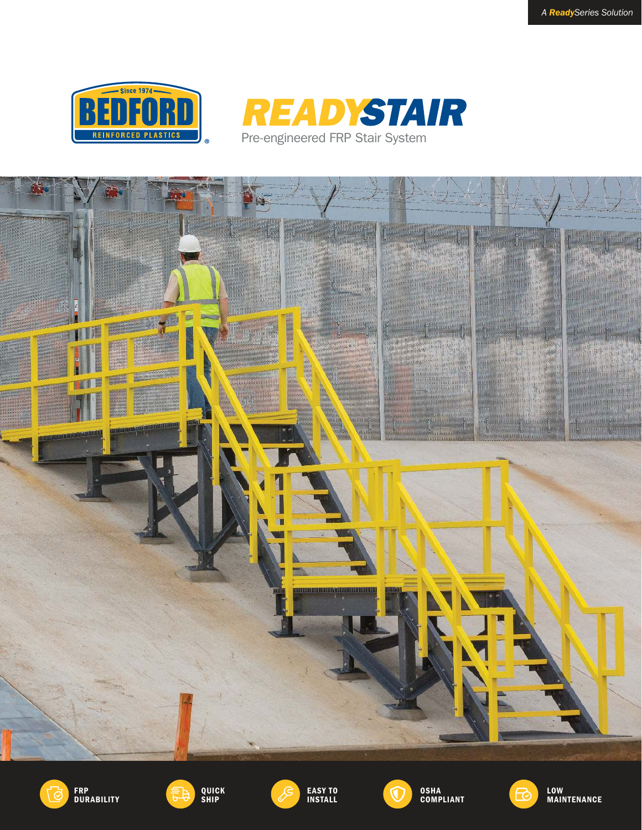











EASY TO INSTALL







MAINTENANCE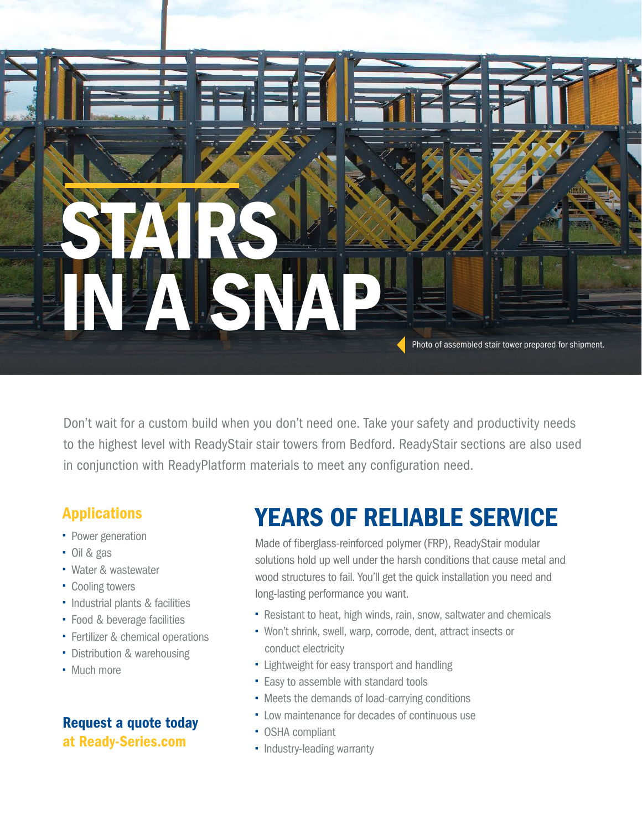

Don't wait for a custom build when you don't need one. Take your safety and productivity needs to the highest level with ReadyStair stair towers from Bedford. ReadyStair sections are also used in conjunction with ReadyPlatform materials to meet any configuration need.

## Applications

- Power generation
- Oil & gas
- Water & wastewater
- Cooling towers
- Industrial plants & facilities
- Food & beverage facilities
- **Fertilizer & chemical operations**
- Distribution & warehousing
- Much more

### Request a quote today at Ready-Series.com

# YEARS OF RELIABLE SERVICE

Made of fiberglass-reinforced polymer (FRP), ReadyStair modular solutions hold up well under the harsh conditions that cause metal and wood structures to fail. You'll get the quick installation you need and long-lasting performance you want.

- Resistant to heat, high winds, rain, snow, saltwater and chemicals
- Won't shrink, swell, warp, corrode, dent, attract insects or conduct electricity
- **-** Lightweight for easy transport and handling
- **Easy to assemble with standard tools**
- Meets the demands of load-carrying conditions
- Low maintenance for decades of continuous use
- OSHA compliant
- Industry-leading warranty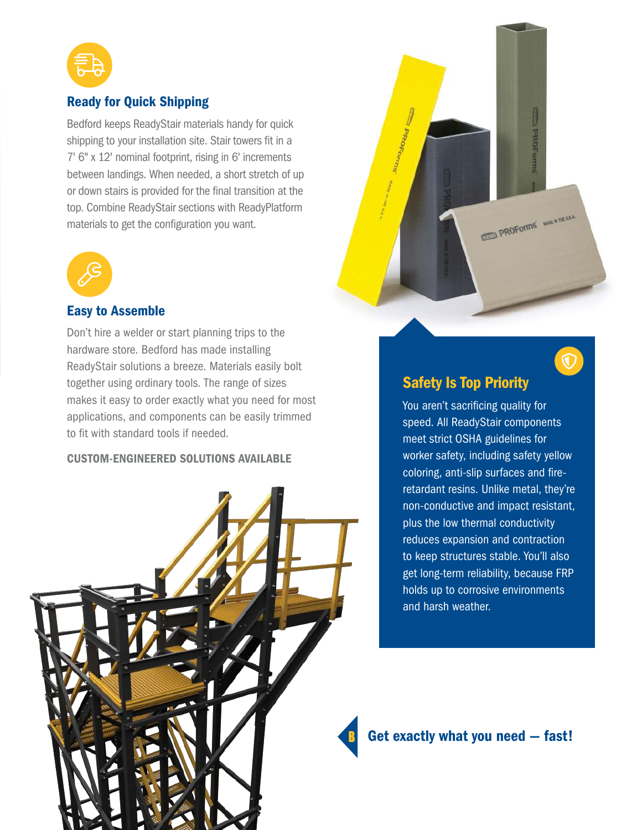

### Ready for Quick Shipping

Bedford keeps ReadyStair materials handy for quick shipping to your installation site. Stair towers fit in a 7' 6" x 12' nominal footprint, rising in 6' increments between landings. When needed, a short stretch of up or down stairs is provided for the final transition at the top. Combine ReadyStair sections with ReadyPlatform materials to get the configuration you want.



#### Easy to Assemble

Don't hire a welder or start planning trips to the hardware store. Bedford has made installing ReadyStair solutions a breeze. Materials easily bolt together using ordinary tools. The range of sizes makes it easy to order exactly what you need for most applications, and components can be easily trimmed to fit with standard tools if needed.

#### CUSTOM-ENGINEERED SOLUTIONS AVAILABLE





 $\overline{\mathbb{O}}$ 

### Safety Is Top Priority

You aren't sacrificing quality for speed. All ReadyStair components meet strict OSHA guidelines for worker safety, including safety yellow coloring, anti-slip surfaces and fireretardant resins. Unlike metal, they're non-conductive and impact resistant, plus the low thermal conductivity reduces expansion and contraction to keep structures stable. You'll also get long-term reliability, because FRP holds up to corrosive environments and harsh weather.

Get exactly what you need — fast!